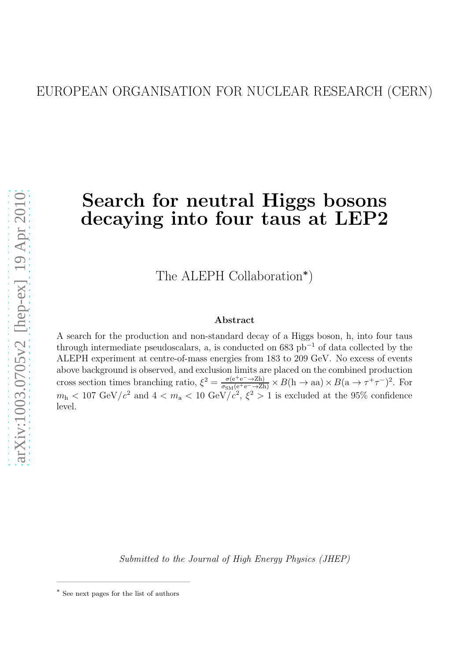# Search for neutral Higgs bosons decaying into four taus at LEP2

The ALEPH Collaboration<sup>\*</sup>)

#### Abstract

A search for the production and non-standard decay of a Higgs boson, h, into four taus through intermediate pseudoscalars, a, is conducted on  $683$  pb<sup>-1</sup> of data collected by the ALEPH experiment at centre-of-mass energies from 183 to 209 GeV. No excess of events above background is observed, and exclusion limits are placed on the combined production cross section times branching ratio,  $\xi^2 = \frac{\sigma(e^+e^- \to Zh)}{\sigma_{SM}(e^+e^- \to Zh)} \times B(h \to aa) \times B(a \to \tau^+\tau^-)^2$ . For  $m_h < 107 \text{ GeV}/c^2$  and  $4 < m_a < 10 \text{ GeV}/c^2$ ,  $\xi^2 > 1$  is excluded at the 95% confidence level.

*Submitted to the Journal of High Energy Physics (JHEP)*

——————————————–

<sup>∗</sup> See next pages for the list of authors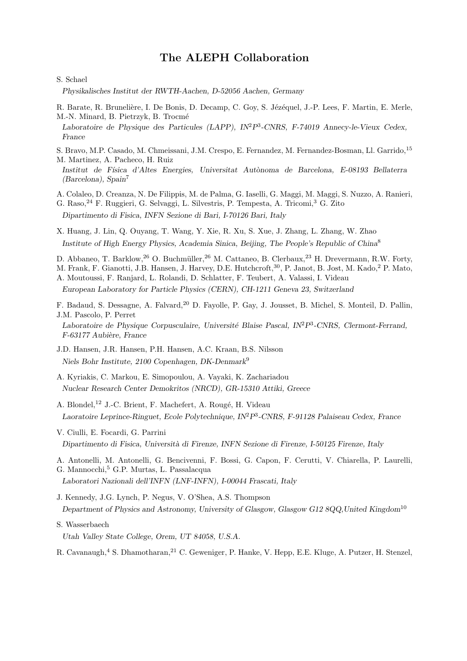### The ALEPH Collaboration

S. Schael

Physikalisches Institut der RWTH-Aachen, D-52056 Aachen, Germany

- R. Barate, R. Brunelière, I. De Bonis, D. Decamp, C. Goy, S. Jézéquel, J.-P. Lees, F. Martin, E. Merle, M.-N. Minard, B. Pietrzyk, B. Trocmé
- Laboratoire de Physique des Particules (LAPP), IN<sup>2</sup>P<sup>3</sup>-CNRS, F-74019 Annecy-le-Vieux Cedex, France
- S. Bravo, M.P. Casado, M. Chmeissani, J.M. Crespo, E. Fernandez, M. Fernandez-Bosman, Ll. Garrido,<sup>15</sup>

M. Martinez, A. Pacheco, H. Ruiz

- Institut de Física d'Altes Energies, Universitat Autònoma de Barcelona, E-08193 Bellaterra (Barcelona), Spain<sup>7</sup>
- A. Colaleo, D. Creanza, N. De Filippis, M. de Palma, G. Iaselli, G. Maggi, M. Maggi, S. Nuzzo, A. Ranieri,

G. Raso,<sup>24</sup> F. Ruggieri, G. Selvaggi, L. Silvestris, P. Tempesta, A. Tricomi,<sup>3</sup> G. Zito

Dipartimento di Fisica, INFN Sezione di Bari, I-70126 Bari, Italy

X. Huang, J. Lin, Q. Ouyang, T. Wang, Y. Xie, R. Xu, S. Xue, J. Zhang, L. Zhang, W. Zhao Institute of High Energy Physics, Academia Sinica, Beijing, The People's Republic of China<sup>8</sup>

- D. Abbaneo, T. Barklow, <sup>26</sup> O. Buchmüller, <sup>26</sup> M. Cattaneo, B. Clerbaux, <sup>23</sup> H. Drevermann, R.W. Forty,
- M. Frank, F. Gianotti, J.B. Hansen, J. Harvey, D.E. Hutchcroft,<sup>30</sup>, P. Janot, B. Jost, M. Kado,<sup>2</sup> P. Mato,

A. Moutoussi, F. Ranjard, L. Rolandi, D. Schlatter, F. Teubert, A. Valassi, I. Videau European Laboratory for Particle Physics (CERN), CH-1211 Geneva 23, Switzerland

F. Badaud, S. Dessagne, A. Falvard,<sup>20</sup> D. Fayolle, P. Gay, J. Jousset, B. Michel, S. Monteil, D. Pallin, J.M. Pascolo, P. Perret

Laboratoire de Physique Corpusculaire, Université Blaise Pascal, IN<sup>2</sup>P<sup>3</sup>-CNRS, Clermont-Ferrand, F-63177 Aubière, France

- J.D. Hansen, J.R. Hansen, P.H. Hansen, A.C. Kraan, B.S. Nilsson Niels Bohr Institute, 2100 Copenhagen, DK-Denmark<sup>9</sup>
- A. Kyriakis, C. Markou, E. Simopoulou, A. Vayaki, K. Zachariadou Nuclear Research Center Demokritos (NRCD), GR-15310 Attiki, Greece
- A. Blondel,<sup>12</sup> J.-C. Brient, F. Machefert, A. Rougé, H. Videau Laoratoire Leprince-Ringuet, Ecole Polytechnique, IN<sup>2</sup>P<sup>3</sup>-CNRS, F-91128 Palaiseau Cedex, France
- V. Ciulli, E. Focardi, G. Parrini Dipartimento di Fisica, Università di Firenze, INFN Sezione di Firenze, I-50125 Firenze, Italy

A. Antonelli, M. Antonelli, G. Bencivenni, F. Bossi, G. Capon, F. Cerutti, V. Chiarella, P. Laurelli, G. Mannocchi,<sup>5</sup> G.P. Murtas, L. Passalacqua

Laboratori Nazionali dell'INFN (LNF-INFN), I-00044 Frascati, Italy

J. Kennedy, J.G. Lynch, P. Negus, V. O'Shea, A.S. Thompson

Department of Physics and Astronomy, University of Glasgow, Glasgow G12 8QQ,United Kingdom<sup>10</sup>

S. Wasserbaech

Utah Valley State College, Orem, UT 84058, U.S.A.

R. Cavanaugh,<sup>4</sup> S. Dhamotharan,<sup>21</sup> C. Geweniger, P. Hanke, V. Hepp, E.E. Kluge, A. Putzer, H. Stenzel,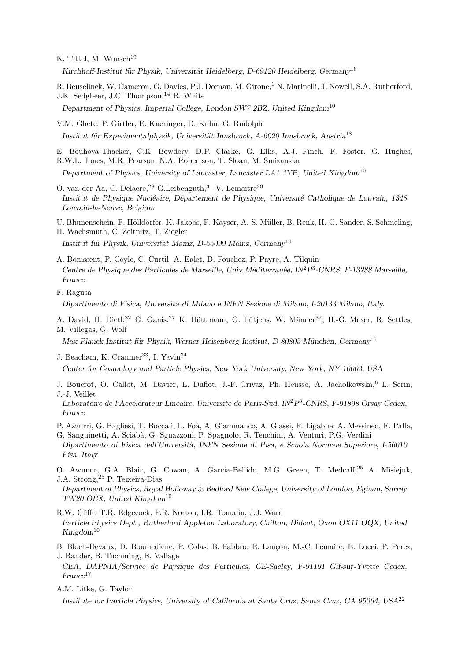K. Tittel, M. Wunsch<sup>19</sup>

Kirchhoff-Institut für Physik, Universität Heidelberg, D-69120 Heidelberg, Germany<sup>16</sup>

R. Beuselinck, W. Cameron, G. Davies, P.J. Dornan, M. Girone,<sup>1</sup> N. Marinelli, J. Nowell, S.A. Rutherford, J.K. Sedgbeer, J.C. Thompson,  $^{14}$  R. White

Department of Physics, Imperial College, London SW7 2BZ, United Kingdom<sup>10</sup>

V.M. Ghete, P. Girtler, E. Kneringer, D. Kuhn, G. Rudolph Institut für Experimentalphysik, Universität Innsbruck, A-6020 Innsbruck, Austria<sup>18</sup>

E. Bouhova-Thacker, C.K. Bowdery, D.P. Clarke, G. Ellis, A.J. Finch, F. Foster, G. Hughes, R.W.L. Jones, M.R. Pearson, N.A. Robertson, T. Sloan, M. Smizanska

Department of Physics, University of Lancaster, Lancaster LA1 4YB, United Kingdom<sup>10</sup>

O. van der Aa, C. Delaere,  $^{28}$  G. Leibenguth,  $^{31}$  V. Lemaitre  $^{29}$ Institut de Physique Nucléaire, Département de Physique, Université Catholique de Louvain, 1348 Louvain-la-Neuve, Belgium

U. Blumenschein, F. Hölldorfer, K. Jakobs, F. Kayser, A.-S. Müller, B. Renk, H.-G. Sander, S. Schmeling,

H. Wachsmuth, C. Zeitnitz, T. Ziegler

Institut für Physik, Universität Mainz, D-55099 Mainz, Germany<sup>16</sup>

- A. Bonissent, P. Coyle, C. Curtil, A. Ealet, D. Fouchez, P. Payre, A. Tilquin Centre de Physique des Particules de Marseille, Univ Méditerranée, IN<sup>2</sup>P<sup>3</sup>-CNRS, F-13288 Marseille, France
- F. Ragusa

Dipartimento di Fisica, Università di Milano e INFN Sezione di Milano, I-20133 Milano, Italy.

A. David, H. Dietl,<sup>32</sup> G. Ganis,<sup>27</sup> K. Hüttmann, G. Lütjens, W. Männer<sup>32</sup>, H.-G. Moser, R. Settles, M. Villegas, G. Wolf

Max-Planck-Institut für Physik, Werner-Heisenberg-Institut, D-80805 München, Germany<sup>16</sup>

J. Beacham, K. Cranmer<sup>33</sup>, I. Yavin<sup>34</sup>

Center for Cosmology and Particle Physics, New York University, New York, NY 10003, USA

J. Boucrot, O. Callot, M. Davier, L. Duflot, J.-F. Grivaz, Ph. Heusse, A. Jacholkowska, <sup>6</sup> L. Serin, J.-J. Veillet

Laboratoire de l'Accélérateur Linéaire, Université de Paris-Sud, IN<sup>2</sup>P<sup>3</sup>-CNRS, F-91898 Orsay Cedex, France

- P. Azzurri, G. Bagliesi, T. Boccali, L. Foà, A. Giammanco, A. Giassi, F. Ligabue, A. Messineo, F. Palla,
- G. Sanguinetti, A. Sciab`a, G. Sguazzoni, P. Spagnolo, R. Tenchini, A. Venturi, P.G. Verdini Dipartimento di Fisica dell'Universit`a, INFN Sezione di Pisa, e Scuola Normale Superiore, I-56010 Pisa, Italy
- O. Awunor, G.A. Blair, G. Cowan, A. Garcia-Bellido, M.G. Green, T. Medcalf,<sup>25</sup> A. Misiejuk, J.A. Strong,<sup>25</sup> P. Teixeira-Dias

Department of Physics, Royal Holloway & Bedford New College, University of London, Egham, Surrey  $TW20$  OEX, United Kingdom<sup>10</sup>

- R.W. Clifft, T.R. Edgecock, P.R. Norton, I.R. Tomalin, J.J. Ward Particle Physics Dept., Rutherford Appleton Laboratory, Chilton, Didcot, Oxon OX11 OQX, United  $Kingdom^{10}$
- B. Bloch-Devaux, D. Boumediene, P. Colas, B. Fabbro, E. Lancon, M.-C. Lemaire, E. Locci, P. Perez, J. Rander, B. Tuchming, B. Vallage
- CEA, DAPNIA/Service de Physique des Particules, CE-Saclay, F-91191 Gif-sur-Yvette Cedex,  $F\!rance^{17}$
- A.M. Litke, G. Taylor

Institute for Particle Physics, University of California at Santa Cruz, Santa Cruz, CA 95064, USA<sup>22</sup>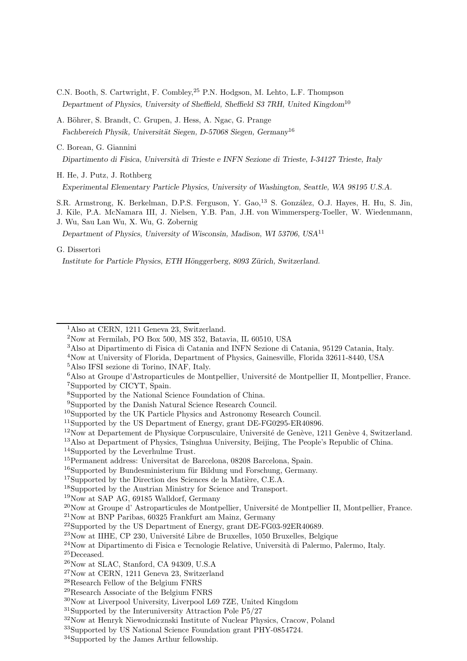- C.N. Booth, S. Cartwright, F. Combley,<sup>25</sup> P.N. Hodgson, M. Lehto, L.F. Thompson Department of Physics, University of Sheffield, Sheffield S3 7RH, United Kingdom<sup>10</sup>
- A. Böhrer, S. Brandt, C. Grupen, J. Hess, A. Ngac, G. Prange Fachbereich Physik, Universität Siegen, D-57068 Siegen, Germany<sup>16</sup>
- C. Borean, G. Giannini

Dipartimento di Fisica, Università di Trieste e INFN Sezione di Trieste, I-34127 Trieste, Italy

H. He, J. Putz, J. Rothberg

Experimental Elementary Particle Physics, University of Washington, Seattle, WA 98195 U.S.A.

S.R. Armstrong, K. Berkelman, D.P.S. Ferguson, Y. Gao,<sup>13</sup> S. González, O.J. Hayes, H. Hu, S. Jin,

J. Kile, P.A. McNamara III, J. Nielsen, Y.B. Pan, J.H. von Wimmersperg-Toeller, W. Wiedenmann, J. Wu, Sau Lan Wu, X. Wu, G. Zobernig

Department of Physics, University of Wisconsin, Madison, WI 53706, USA<sup>11</sup>

#### G. Dissertori

Institute for Particle Physics, ETH Hönggerberg, 8093 Zürich, Switzerland.

- Also at Dipartimento di Fisica di Catania and INFN Sezione di Catania, 95129 Catania, Italy.
- Now at University of Florida, Department of Physics, Gainesville, Florida 32611-8440, USA
- Also IFSI sezione di Torino, INAF, Italy.
- Also at Groupe d'Astroparticules de Montpellier, Université de Montpellier II, Montpellier, France. Supported by CICYT, Spain.

- Supported by the Danish Natural Science Research Council.
- Supported by the UK Particle Physics and Astronomy Research Council.

Supported by the US Department of Energy, grant DE-FG0295-ER40896.

Now at Departement de Physique Corpusculaire, Université de Genève, 1211 Genève 4, Switzerland.

Also at Department of Physics, Tsinghua University, Beijing, The People's Republic of China.

Supported by the Leverhulme Trust.

Supported by the Direction des Sciences de la Matière, C.E.A.

Now at SAP AG, 69185 Walldorf, Germany

Now at IIHE, CP 230, Université Libre de Bruxelles, 1050 Bruxelles, Belgique

Now at Henryk Niewodnicznski Institute of Nuclear Physics, Cracow, Poland

<sup>&</sup>lt;sup>1</sup>Also at CERN, 1211 Geneva 23, Switzerland.

Now at Fermilab, PO Box 500, MS 352, Batavia, IL 60510, USA

Supported by the National Science Foundation of China.

Permanent address: Universitat de Barcelona, 08208 Barcelona, Spain.

Supported by Bundesministerium für Bildung und Forschung, Germany.

Supported by the Austrian Ministry for Science and Transport.

 $^{20}$ Now at Groupe d'Astroparticules de Montpellier, Université de Montpellier II, Montpellier, France.

Now at BNP Paribas, 60325 Frankfurt am Mainz, Germany

 $^{22}$ Supported by the US Department of Energy, grant DE-FG03-92ER40689.

Now at Dipartimento di Fisica e Tecnologie Relative, Università di Palermo, Palermo, Italy.

 $\rm{^{25}Deceased.}$ 

Now at SLAC, Stanford, CA 94309, U.S.A

Now at CERN, 1211 Geneva 23, Switzerland

Research Fellow of the Belgium FNRS

Research Associate of the Belgium FNRS

Now at Liverpool University, Liverpool L69 7ZE, United Kingdom

Supported by the Interuniversity Attraction Pole P5/27

Supported by US National Science Foundation grant PHY-0854724.

Supported by the James Arthur fellowship.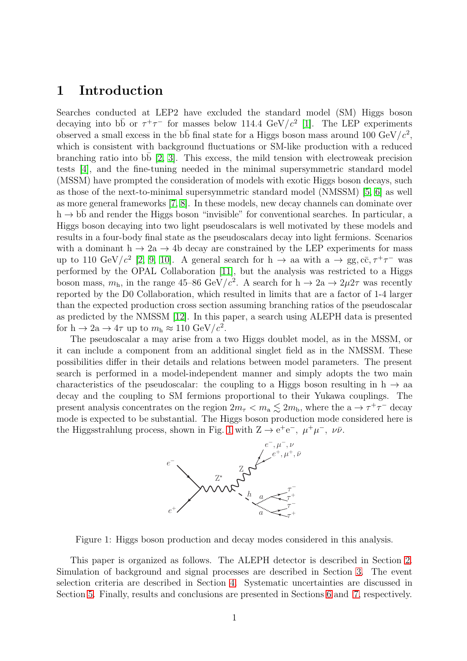## 1 Introduction

Searches conducted at LEP2 have excluded the standard model (SM) Higgs boson decaying into bb or  $\tau^+\tau^-$  for masses below 114.4 GeV/ $c^2$  [\[1\]](#page-11-0). The LEP experiments observed a small excess in the b<sub>b</sub> final state for a Higgs boson mass around 100 GeV/ $c^2$ , which is consistent with background fluctuations or SM-like production with a reduced branching ratio into bb  $[2, 3]$  $[2, 3]$ . This excess, the mild tension with electroweak precision tests [\[4\]](#page-11-3), and the fine-tuning needed in the minimal supersymmetric standard model (MSSM) have prompted the consideration of models with exotic Higgs boson decays, such as those of the next-to-minimal supersymmetric standard model (NMSSM) [\[5,](#page-11-4) [6\]](#page-11-5) as well as more general frameworks [\[7,](#page-11-6) [8\]](#page-11-7). In these models, new decay channels can dominate over  $h \to b\overline{b}$  and render the Higgs boson "invisible" for conventional searches. In particular, a Higgs boson decaying into two light pseudoscalars is well motivated by these models and results in a four-body final state as the pseudoscalars decay into light fermions. Scenarios with a dominant  $h \to 2a \to 4b$  decay are constrained by the LEP experiments for mass up to 110 GeV/ $c^2$  [\[2,](#page-11-1) [9,](#page-11-8) [10\]](#page-11-9). A general search for h  $\rightarrow$  aa with a  $\rightarrow$  gg, cc,  $\tau^+\tau^-$  was performed by the OPAL Collaboration [\[11\]](#page-11-10), but the analysis was restricted to a Higgs boson mass,  $m_h$ , in the range 45–86 GeV/ $c^2$ . A search for  $h \to 2a \to 2\mu 2\tau$  was recently reported by the D0 Collaboration, which resulted in limits that are a factor of 1-4 larger than the expected production cross section assuming branching ratios of the pseudoscalar as predicted by the NMSSM [\[12\]](#page-11-11). In this paper, a search using ALEPH data is presented for  $h \to 2a \to 4\tau$  up to  $m_h \approx 110 \text{ GeV}/c^2$ .

The pseudoscalar a may arise from a two Higgs doublet model, as in the MSSM, or it can include a component from an additional singlet field as in the NMSSM. These possibilities differ in their details and relations between model parameters. The present search is performed in a model-independent manner and simply adopts the two main characteristics of the pseudoscalar: the coupling to a Higgs boson resulting in h  $\rightarrow$  aa decay and the coupling to SM fermions proportional to their Yukawa couplings. The present analysis concentrates on the region  $2m_{\tau} < m_{\text{a}} \lesssim 2m_{\text{b}}$ , where the  $a \to \tau^+\tau^-$  decay mode is expected to be substantial. The Higgs boson production mode considered here is the Higgsstrahlung process, shown in Fig. [1](#page-4-0) with  $Z \to e^+e^-$ ,  $\mu^+\mu^-$ ,  $\nu\bar{\nu}$ .



<span id="page-4-0"></span>Figure 1: Higgs boson production and decay modes considered in this analysis.

This paper is organized as follows. The ALEPH detector is described in Section [2.](#page-5-0) Simulation of background and signal processes are described in Section [3.](#page-6-0) The event selection criteria are described in Section [4.](#page-6-1) Systematic uncertainties are discussed in Section [5.](#page-8-0) Finally, results and conclusions are presented in Sections [6](#page-10-0) and [7,](#page-10-1) respectively.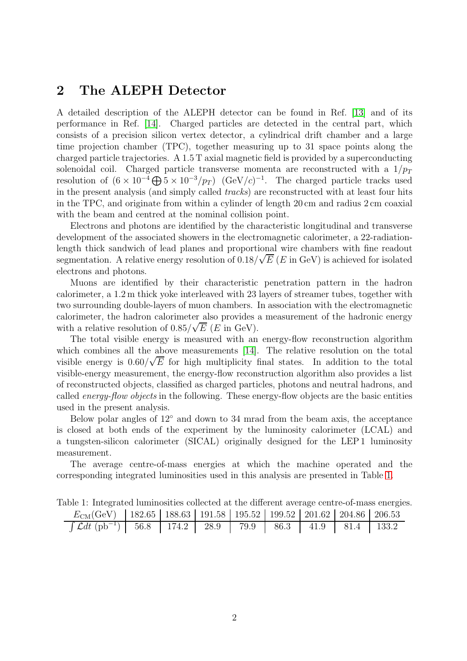## <span id="page-5-0"></span>2 The ALEPH Detector

A detailed description of the ALEPH detector can be found in Ref. [\[13\]](#page-12-0) and of its performance in Ref. [\[14\]](#page-12-1). Charged particles are detected in the central part, which consists of a precision silicon vertex detector, a cylindrical drift chamber and a large time projection chamber (TPC), together measuring up to 31 space points along the charged particle trajectories. A 1.5 T axial magnetic field is provided by a superconducting solenoidal coil. Charged particle transverse momenta are reconstructed with a  $1/p_T$ resolution of  $(6 \times 10^{-4} \bigoplus 5 \times 10^{-3} / p_T)$   $(\text{GeV}/c)^{-1}$ . The charged particle tracks used in the present analysis (and simply called *tracks*) are reconstructed with at least four hits in the TPC, and originate from within a cylinder of length 20 cm and radius 2 cm coaxial with the beam and centred at the nominal collision point.

Electrons and photons are identified by the characteristic longitudinal and transverse development of the associated showers in the electromagnetic calorimeter, a 22-radiationlength thick sandwich of lead planes and proportional wire chambers with fine readout segmentation. A relative energy resolution of  $0.18/\sqrt{E}$  ( $E$  in GeV) is achieved for isolated electrons and photons.

Muons are identified by their characteristic penetration pattern in the hadron calorimeter, a 1.2 m thick yoke interleaved with 23 layers of streamer tubes, together with two surrounding double-layers of muon chambers. In association with the electromagnetic calorimeter, the hadron calorimeter also provides a measurement of the hadronic energy with a relative resolution of  $0.85/\sqrt{E}$  (*E* in GeV).

The total visible energy is measured with an energy-flow reconstruction algorithm which combines all the above measurements [\[14\]](#page-12-1). The relative resolution on the total visible energy is  $0.60/\sqrt{E}$  for high multiplicity final states. In addition to the total visible-energy measurement, the energy-flow reconstruction algorithm also provides a list of reconstructed objects, classified as charged particles, photons and neutral hadrons, and called *energy-flow objects* in the following. These energy-flow objects are the basic entities used in the present analysis.

Below polar angles of 12◦ and down to 34 mrad from the beam axis, the acceptance is closed at both ends of the experiment by the luminosity calorimeter (LCAL) and a tungsten-silicon calorimeter (SICAL) originally designed for the LEP 1 luminosity measurement.

The average centre-of-mass energies at which the machine operated and the corresponding integrated luminosities used in this analysis are presented in Table [1.](#page-5-1)

<span id="page-5-1"></span>

| abic 1. mograma niminosimo concenta ao un unicreno average centre or mass energie                   |  |  |  |  |  |  |  |  |
|-----------------------------------------------------------------------------------------------------|--|--|--|--|--|--|--|--|
| $E_{\text{CM}}(\text{GeV})$   182.65   188.63   191.58   195.52   199.52   201.62   204.86   206.53 |  |  |  |  |  |  |  |  |
| $\int \mathcal{L}dt$ (pb <sup>-1</sup> )   56.8   174.2   28.9   79.9   86.3   41.9   81.4   133.2  |  |  |  |  |  |  |  |  |

Table 1: Integrated luminosities collected at the different average centre-of-mass energies.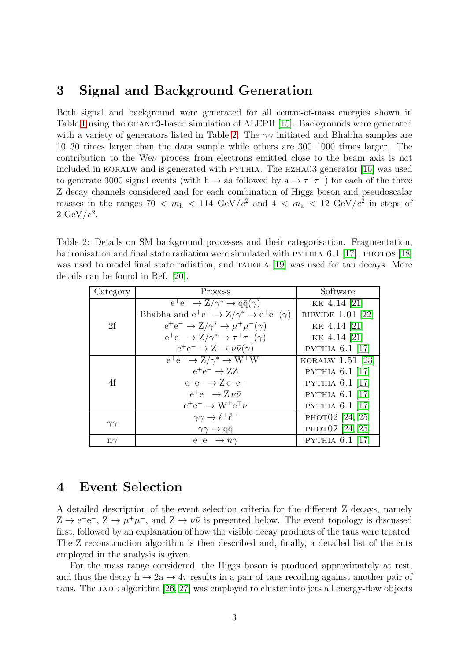## <span id="page-6-0"></span>3 Signal and Background Generation

Both signal and background were generated for all centre-of-mass energies shown in Table [1](#page-5-1) using the GEANT3-based simulation of ALEPH [\[15\]](#page-12-2). Backgrounds were generated with a variety of generators listed in Table [2.](#page-6-2) The  $\gamma\gamma$  initiated and Bhabha samples are 10–30 times larger than the data sample while others are 300–1000 times larger. The contribution to the Weν process from electrons emitted close to the beam axis is not included in KORALW and is generated with PYTHIA. The HZHA03 generator [\[16\]](#page-12-3) was used to generate 3000 signal events (with h  $\rightarrow$  aa followed by a  $\rightarrow \tau^+\tau^-$ ) for each of the three Z decay channels considered and for each combination of Higgs boson and pseudoscalar masses in the ranges  $70 < m<sub>h</sub> < 114 \text{ GeV}/c^2$  and  $4 < m<sub>a</sub> < 12 \text{ GeV}/c^2$  in steps of  $2 \text{ GeV}/c^2$ .

<span id="page-6-2"></span>Table 2: Details on SM background processes and their categorisation. Fragmentation, hadronisation and final state radiation were simulated with PYTHIA  $6.1$  [\[17\]](#page-12-4). PHOTOS [\[18\]](#page-12-5) was used to model final state radiation, and TAUOLA [\[19\]](#page-12-6) was used for tau decays. More details can be found in Ref. [\[20\]](#page-12-7).

| Category       | Process                                                        | Software               |
|----------------|----------------------------------------------------------------|------------------------|
| 2f             | $e^+e^- \rightarrow Z/\gamma^* \rightarrow q\bar{q}(\gamma)$   | KK 4.14 [21]           |
|                | Bhabha and $e^+e^- \to Z/\gamma^* \to e^+e^-(\gamma)$          | BHWIDE 1.01 [22]       |
|                | $e^+e^- \rightarrow Z/\gamma^* \rightarrow \mu^+\mu^-(\gamma)$ | KK 4.14 [21]           |
|                | $e^+e^- \to Z/\gamma^* \to \tau^+\tau^-(\gamma)$               | KK 4.14 [21]           |
|                | $e^+e^- \rightarrow Z \rightarrow \nu \bar{\nu}(\gamma)$       | <b>PYTHIA 6.1 [17]</b> |
| 4f             | $e^+e^- \rightarrow Z/\gamma^* \rightarrow W^+W^-$             | KORALW $1.51$ [23]     |
|                | $e^+e^- \rightarrow ZZ$                                        | PYTHIA $6.1$ [17]      |
|                | $e^+e^- \rightarrow Z e^+e^-$                                  | PYTHIA $6.1$ [17]      |
|                | $e^+e^- \rightarrow Z \nu \bar{\nu}$                           | <b>PYTHIA 6.1 [17]</b> |
|                | $e^+e^- \rightarrow W^{\pm}e^{\mp} \nu$                        | <b>PYTHIA 6.1 [17]</b> |
| $\gamma\gamma$ | $\gamma\gamma \to \ell^+\ell^-$                                | PHOT02 [24, 25]        |
|                | $\gamma\gamma \rightarrow q\bar{q}$                            | РНОТО2 [24, 25]        |
| $n\gamma$      | $e^+e^- \rightarrow n\gamma$                                   | <b>PYTHIA 6.1 [17]</b> |

## <span id="page-6-1"></span>4 Event Selection

A detailed description of the event selection criteria for the different Z decays, namely  $Z \to e^+e^-$ ,  $Z \to \mu^+\mu^-$ , and  $Z \to \nu\bar{\nu}$  is presented below. The event topology is discussed first, followed by an explanation of how the visible decay products of the taus were treated. The Z reconstruction algorithm is then described and, finally, a detailed list of the cuts employed in the analysis is given.

For the mass range considered, the Higgs boson is produced approximately at rest, and thus the decay h  $\rightarrow 2a \rightarrow 4\tau$  results in a pair of taus recoiling against another pair of taus. The JADE algorithm [\[26,](#page-12-13) [27\]](#page-12-14) was employed to cluster into jets all energy-flow objects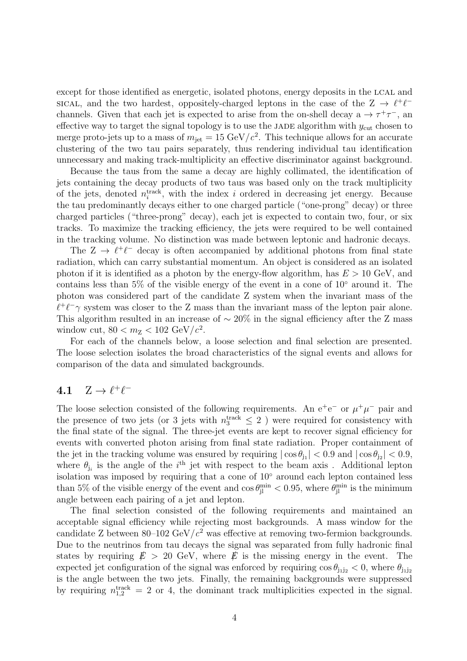except for those identified as energetic, isolated photons, energy deposits in the LCAL and sical, and the two hardest, oppositely-charged leptons in the case of the  $Z \rightarrow \ell^+ \ell^$ channels. Given that each jet is expected to arise from the on-shell decay  $a \to \tau^+\tau^-$ , and effective way to target the signal topology is to use the JADE algorithm with  $y_{\text{cut}}$  chosen to merge proto-jets up to a mass of  $m_{jet} = 15 \text{ GeV}/c^2$ . This technique allows for an accurate clustering of the two tau pairs separately, thus rendering individual tau identification unnecessary and making track-multiplicity an effective discriminator against background.

Because the taus from the same a decay are highly collimated, the identification of jets containing the decay products of two taus was based only on the track multiplicity of the jets, denoted  $n_i^{\text{track}}$ , with the index i ordered in decreasing jet energy. Because the tau predominantly decays either to one charged particle ("one-prong" decay) or three charged particles ("three-prong" decay), each jet is expected to contain two, four, or six tracks. To maximize the tracking efficiency, the jets were required to be well contained in the tracking volume. No distinction was made between leptonic and hadronic decays.

The  $Z \to \ell^+ \ell^-$  decay is often accompanied by additional photons from final state radiation, which can carry substantial momentum. An object is considered as an isolated photon if it is identified as a photon by the energy-flow algorithm, has  $E > 10$  GeV, and contains less than 5% of the visible energy of the event in a cone of  $10°$  around it. The photon was considered part of the candidate Z system when the invariant mass of the  $\ell^+\ell^-\gamma$  system was closer to the Z mass than the invariant mass of the lepton pair alone. This algorithm resulted in an increase of  $\sim 20\%$  in the signal efficiency after the Z mass window cut,  $80 < m_Z < 102 \text{ GeV}/c^2$ .

For each of the channels below, a loose selection and final selection are presented. The loose selection isolates the broad characteristics of the signal events and allows for comparison of the data and simulated backgrounds.

# 4.1  $Z \rightarrow \ell^+ \ell^-$

The loose selection consisted of the following requirements. An  $e^+e^-$  or  $\mu^+\mu^-$  pair and the presence of two jets (or 3 jets with  $n_3^{\text{track}} \leq 2$ ) were required for consistency with the final state of the signal. The three-jet events are kept to recover signal efficiency for events with converted photon arising from final state radiation. Proper containment of the jet in the tracking volume was ensured by requiring  $|\cos \theta_{j_1}| < 0.9$  and  $|\cos \theta_{j_2}| < 0.9$ , where  $\theta_{j_i}$  is the angle of the i<sup>th</sup> jet with respect to the beam axis. Additional lepton isolation was imposed by requiring that a cone of 10◦ around each lepton contained less than 5% of the visible energy of the event and  $\cos \theta_{jl}^{\text{min}} < 0.95$ , where  $\theta_{jl}^{\text{min}}$  is the minimum angle between each pairing of a jet and lepton.

The final selection consisted of the following requirements and maintained an acceptable signal efficiency while rejecting most backgrounds. A mass window for the candidate Z between  $80-102 \text{ GeV}/c^2$  was effective at removing two-fermion backgrounds. Due to the neutrinos from tau decays the signal was separated from fully hadronic final states by requiring  $\dot{E} > 20$  GeV, where  $\dot{E}$  is the missing energy in the event. The expected jet configuration of the signal was enforced by requiring  $\cos \theta_{\text{ii2}} < 0$ , where  $\theta_{\text{iii2}}$ is the angle between the two jets. Finally, the remaining backgrounds were suppressed by requiring  $n_{1,2}^{\text{track}} = 2$  or 4, the dominant track multiplicities expected in the signal.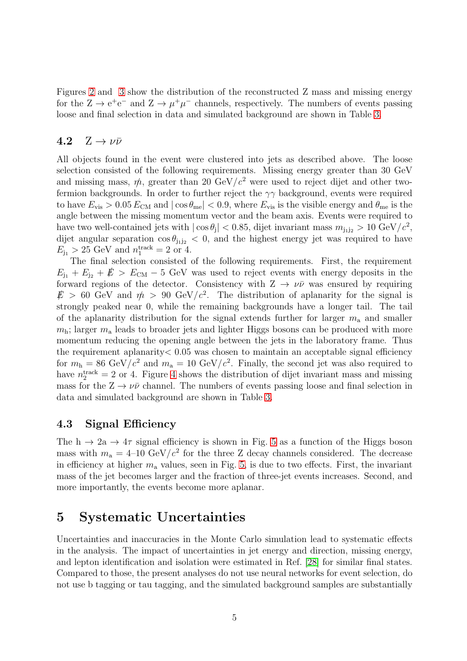Figures [2](#page-14-0) and [3](#page-15-0) show the distribution of the reconstructed Z mass and missing energy for the  $Z \to e^+e^-$  and  $Z \to \mu^+\mu^-$  channels, respectively. The numbers of events passing loose and final selection in data and simulated background are shown in Table [3.](#page-9-0)

### 4.2  $Z \rightarrow \nu \bar{\nu}$

All objects found in the event were clustered into jets as described above. The loose selection consisted of the following requirements. Missing energy greater than 30 GeV and missing mass,  $\dot{\psi}$ , greater than 20 GeV/ $c^2$  were used to reject dijet and other twofermion backgrounds. In order to further reject the  $\gamma\gamma$  background, events were required to have  $E_{\rm vis} > 0.05 E_{\rm CM}$  and  $|\cos \theta_{\rm me}| < 0.9$ , where  $E_{\rm vis}$  is the visible energy and  $\theta_{\rm me}$  is the angle between the missing momentum vector and the beam axis. Events were required to have two well-contained jets with  $|\cos \theta_j|$  < 0.85, dijet invariant mass  $m_{j_1 j_2} > 10 \text{ GeV}/c^2$ , dijet angular separation  $\cos \theta_{\text{in2}} < 0$ , and the highest energy jet was required to have  $E_{j_1} > 25 \text{ GeV} \text{ and } n_1^{\text{track}} = 2 \text{ or } 4.$ 

The final selection consisted of the following requirements. First, the requirement  $E_{11} + E_{12} + E_{12} + E_{\text{CM}} - 5$  GeV was used to reject events with energy deposits in the forward regions of the detector. Consistency with  $Z \rightarrow \nu\bar{\nu}$  was ensured by requiring  $E > 60$  GeV and  $m > 90$  GeV/ $c^2$ . The distribution of aplanarity for the signal is strongly peaked near 0, while the remaining backgrounds have a longer tail. The tail of the aplanarity distribution for the signal extends further for larger  $m_a$  and smaller  $m<sub>h</sub>$ ; larger  $m<sub>a</sub>$  leads to broader jets and lighter Higgs bosons can be produced with more momentum reducing the opening angle between the jets in the laboratory frame. Thus the requirement aplanarity  $< 0.05$  was chosen to maintain an acceptable signal efficiency for  $m_h = 86 \text{ GeV}/c^2$  and  $m_a = 10 \text{ GeV}/c^2$ . Finally, the second jet was also required to have  $n_2^{\text{track}} = 2$  or [4](#page-16-0). Figure 4 shows the distribution of dijet invariant mass and missing mass for the  $Z \to \nu\bar{\nu}$  channel. The numbers of events passing loose and final selection in data and simulated background are shown in Table [3.](#page-9-0)

### 4.3 Signal Efficiency

The h  $\rightarrow$  2a  $\rightarrow$  4 $\tau$  signal efficiency is shown in Fig. [5](#page-17-0) as a function of the Higgs boson mass with  $m_a = 4{\text -}10 \text{ GeV}/c^2$  for the three Z decay channels considered. The decrease in efficiency at higher  $m_a$  values, seen in Fig. [5,](#page-17-0) is due to two effects. First, the invariant mass of the jet becomes larger and the fraction of three-jet events increases. Second, and more importantly, the events become more aplanar.

## <span id="page-8-0"></span>5 Systematic Uncertainties

Uncertainties and inaccuracies in the Monte Carlo simulation lead to systematic effects in the analysis. The impact of uncertainties in jet energy and direction, missing energy, and lepton identification and isolation were estimated in Ref. [\[28\]](#page-13-0) for similar final states. Compared to those, the present analyses do not use neural networks for event selection, do not use b tagging or tau tagging, and the simulated background samples are substantially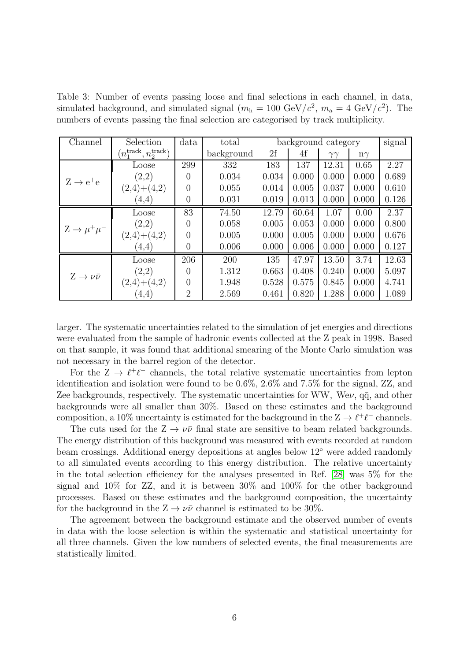<span id="page-9-0"></span>Table 3: Number of events passing loose and final selections in each channel, in data, simulated background, and simulated signal  $(m_h = 100 \text{ GeV}/c^2, m_a = 4 \text{ GeV}/c^2)$ . The numbers of events passing the final selection are categorised by track multiplicity.

| Channel                       | Selection                                  | data           | total      | background category |       |                | signal    |       |
|-------------------------------|--------------------------------------------|----------------|------------|---------------------|-------|----------------|-----------|-------|
|                               | $(n_1^{\text{track}}, n_2^{\text{track}})$ |                | background | 2f                  | 4f    | $\gamma\gamma$ | $n\gamma$ |       |
| $Z \rightarrow e^+e^-$        | Loose                                      | 299            | 332        | 183                 | 137   | 12.31          | 0.65      | 2.27  |
|                               | (2,2)                                      | 0              | 0.034      | 0.034               | 0.000 | 0.000          | 0.000     | 0.689 |
|                               | $(2,4)+(4,2)$                              | $\theta$       | 0.055      | 0.014               | 0.005 | 0.037          | 0.000     | 0.610 |
|                               | (4,4)                                      | $\overline{0}$ | 0.031      | 0.019               | 0.013 | 0.000          | 0.000     | 0.126 |
| $Z \rightarrow \mu^+\mu^-$    | Loose                                      | 83             | 74.50      | 12.79               | 60.64 | 1.07           | 0.00      | 2.37  |
|                               | (2,2)                                      | $\theta$       | 0.058      | 0.005               | 0.053 | 0.000          | 0.000     | 0.800 |
|                               | $(2,4)+(4,2)$                              | $\theta$       | 0.005      | 0.000               | 0.005 | 0.000          | 0.000     | 0.676 |
|                               | (4,4)                                      | $\overline{0}$ | 0.006      | 0.000               | 0.006 | 0.000          | 0.000     | 0.127 |
| $Z \rightarrow \nu \bar{\nu}$ | Loose                                      | 206            | 200        | 135                 | 47.97 | 13.50          | 3.74      | 12.63 |
|                               | (2,2)                                      | 0              | 1.312      | 0.663               | 0.408 | 0.240          | 0.000     | 5.097 |
|                               | $(2,4)+(4,2)$                              | 0              | 1.948      | 0.528               | 0.575 | 0.845          | 0.000     | 4.741 |
|                               | (4,4)                                      | $\overline{2}$ | 2.569      | 0.461               | 0.820 | 1.288          | 0.000     | 1.089 |

larger. The systematic uncertainties related to the simulation of jet energies and directions were evaluated from the sample of hadronic events collected at the Z peak in 1998. Based on that sample, it was found that additional smearing of the Monte Carlo simulation was not necessary in the barrel region of the detector.

For the  $Z \to \ell^+ \ell^-$  channels, the total relative systematic uncertainties from lepton identification and isolation were found to be 0.6%, 2.6% and 7.5% for the signal, ZZ, and Zee backgrounds, respectively. The systematic uncertainties for WW, We $\nu$ ,  $q\bar{q}$ , and other backgrounds were all smaller than 30%. Based on these estimates and the background composition, a 10% uncertainty is estimated for the background in the  $Z \to \ell^+ \ell^-$  channels.

The cuts used for the  $Z \to \nu\bar{\nu}$  final state are sensitive to beam related backgrounds. The energy distribution of this background was measured with events recorded at random beam crossings. Additional energy depositions at angles below 12◦ were added randomly to all simulated events according to this energy distribution. The relative uncertainty in the total selection efficiency for the analyses presented in Ref. [\[28\]](#page-13-0) was 5% for the signal and 10% for ZZ, and it is between 30% and 100% for the other background processes. Based on these estimates and the background composition, the uncertainty for the background in the  $Z \rightarrow \nu\bar{\nu}$  channel is estimated to be 30%.

The agreement between the background estimate and the observed number of events in data with the loose selection is within the systematic and statistical uncertainty for all three channels. Given the low numbers of selected events, the final measurements are statistically limited.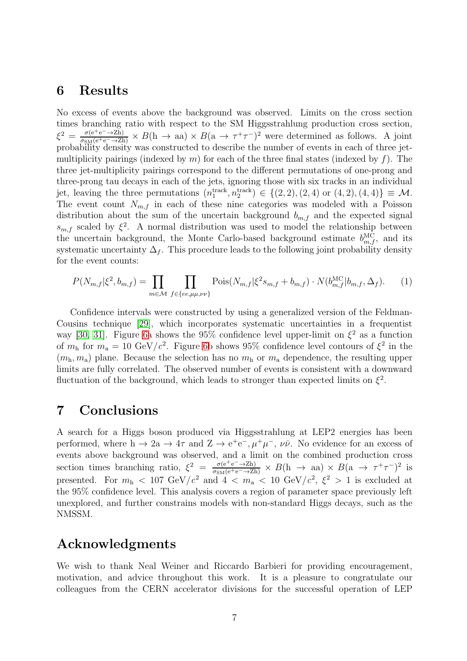### <span id="page-10-0"></span>6 Results

No excess of events above the background was observed. Limits on the cross section times branching ratio with respect to the SM Higgsstrahlung production cross section,  $\xi^2 = \frac{\sigma(e^+e^- \to Zh)}{\sigma_{SM}(e^+e^- \to Zh)} \times B(h \to aa) \times B(a \to \tau^+\tau^-)^2$  were determined as follows. A joint probability density was constructed to describe the number of events in each of three jetmultiplicity pairings (indexed by m) for each of the three final states (indexed by f). The three jet-multiplicity pairings correspond to the different permutations of one-prong and three-prong tau decays in each of the jets, ignoring those with six tracks in an individual jet, leaving the three permutations  $(n_1^{\text{track}}, n_2^{\text{track}}) \in \{(2, 2), (2, 4) \text{ or } (4, 2), (4, 4)\} \equiv \mathcal{M}.$ The event count  $N_{m,f}$  in each of these nine categories was modeled with a Poisson distribution about the sum of the uncertain background  $b_{m,f}$  and the expected signal  $s_{m,f}$  scaled by  $\xi^2$ . A normal distribution was used to model the relationship between the uncertain background, the Monte Carlo-based background estimate  $b_{m,f}^{\text{MC}}$ , and its systematic uncertainty  $\Delta_f$ . This procedure leads to the following joint probability density for the event counts:

$$
P(N_{m,f}|\xi^2, b_{m,f}) = \prod_{m \in \mathcal{M}} \prod_{f \in \{ee, \mu\mu, \nu\nu\}} \text{Pois}(N_{m,f}|\xi^2 s_{m,f} + b_{m,f}) \cdot N(b_{m,f}^{\text{MC}}|b_{m,f}, \Delta_f). \tag{1}
$$

Confidence intervals were constructed by using a generalized version of the Feldman-Cousins technique [\[29\]](#page-13-1), which incorporates systematic uncertainties in a frequentist way [\[30,](#page-13-2) [31\]](#page-13-3). Figure [6a](#page-17-1) shows the 95% confidence level upper-limit on  $\xi^2$  as a function of  $m_h$  for  $m_a = 10 \text{ GeV}/c^2$ . Figure [6b](#page-17-1) shows 95% confidence level contours of  $\xi^2$  in the  $(m<sub>h</sub>, m<sub>a</sub>)$  plane. Because the selection has no  $m<sub>h</sub>$  or  $m<sub>a</sub>$  dependence, the resulting upper limits are fully correlated. The observed number of events is consistent with a downward fluctuation of the background, which leads to stronger than expected limits on  $\xi^2$ .

## <span id="page-10-1"></span>7 Conclusions

A search for a Higgs boson produced via Higgsstrahlung at LEP2 energies has been performed, where  $h \to 2a \to 4\tau$  and  $Z \to e^+e^-$ ,  $\mu^+\mu^-$ ,  $\nu\bar{\nu}$ . No evidence for an excess of events above background was observed, and a limit on the combined production cross section times branching ratio,  $\xi^2 = \frac{\sigma(e^+e^- \to Zh)}{\sigma_{SM}(e^+e^- \to Zh)} \times B(h \to aa) \times B(a \to \tau^+\tau^-)^2$  is presented. For  $m_h < 107 \text{ GeV}/c^2$  and  $4 < m_a < 10 \text{ GeV}/c^2$ ,  $\xi^2 > 1$  is excluded at the 95% confidence level. This analysis covers a region of parameter space previously left unexplored, and further constrains models with non-standard Higgs decays, such as the NMSSM.

## Acknowledgments

We wish to thank Neal Weiner and Riccardo Barbieri for providing encouragement, motivation, and advice throughout this work. It is a pleasure to congratulate our colleagues from the CERN accelerator divisions for the successful operation of LEP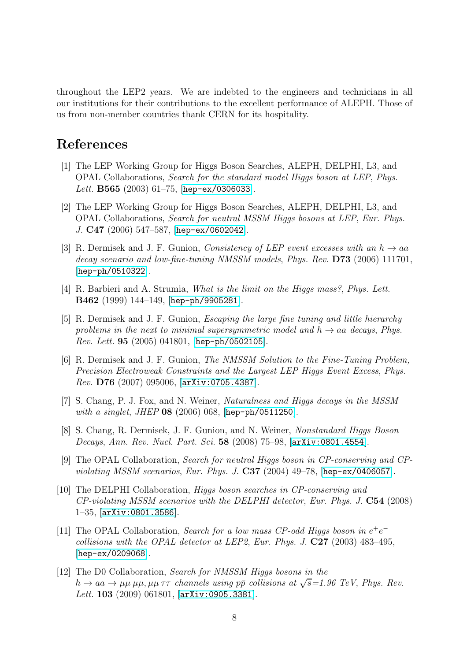throughout the LEP2 years. We are indebted to the engineers and technicians in all our institutions for their contributions to the excellent performance of ALEPH. Those of us from non-member countries thank CERN for its hospitality.

## <span id="page-11-0"></span>References

- [1] The LEP Working Group for Higgs Boson Searches, ALEPH, DELPHI, L3, and OPAL Collaborations, *Search for the standard model Higgs boson at LEP*, *Phys. Lett.* B565 (2003) 61–75, [[hep-ex/0306033](http://xxx.lanl.gov/abs/hep-ex/0306033)].
- <span id="page-11-1"></span>[2] The LEP Working Group for Higgs Boson Searches, ALEPH, DELPHI, L3, and OPAL Collaborations, *Search for neutral MSSM Higgs bosons at LEP*, *Eur. Phys. J.* C47 (2006) 547–587, [[hep-ex/0602042](http://xxx.lanl.gov/abs/hep-ex/0602042)].
- <span id="page-11-2"></span>[3] R. Dermisek and J. F. Gunion, *Consistency of LEP event excesses with an*  $h \to aa$ *decay scenario and low-fine-tuning NMSSM models*, *Phys. Rev.* D73 (2006) 111701, [[hep-ph/0510322](http://xxx.lanl.gov/abs/hep-ph/0510322)].
- <span id="page-11-3"></span>[4] R. Barbieri and A. Strumia, *What is the limit on the Higgs mass?*, *Phys. Lett.* B462 (1999) 144–149, [[hep-ph/9905281](http://xxx.lanl.gov/abs/hep-ph/9905281)].
- <span id="page-11-4"></span>[5] R. Dermisek and J. F. Gunion, *Escaping the large fine tuning and little hierarchy* problems in the next to minimal supersymmetric model and  $h \rightarrow aa$  decays, Phys. *Rev. Lett.* 95 (2005) 041801, [[hep-ph/0502105](http://xxx.lanl.gov/abs/hep-ph/0502105)].
- <span id="page-11-5"></span>[6] R. Dermisek and J. F. Gunion, *The NMSSM Solution to the Fine-Tuning Problem, Precision Electroweak Constraints and the Largest LEP Higgs Event Excess*, *Phys. Rev.* D76 (2007) 095006, [[arXiv:0705.4387](http://xxx.lanl.gov/abs/0705.4387)].
- <span id="page-11-7"></span><span id="page-11-6"></span>[7] S. Chang, P. J. Fox, and N. Weiner, *Naturalness and Higgs decays in the MSSM with a singlet*, *JHEP* 08 (2006) 068, [[hep-ph/0511250](http://xxx.lanl.gov/abs/hep-ph/0511250)].
- [8] S. Chang, R. Dermisek, J. F. Gunion, and N. Weiner, *Nonstandard Higgs Boson Decays*, *Ann. Rev. Nucl. Part. Sci.* 58 (2008) 75–98, [[arXiv:0801.4554](http://xxx.lanl.gov/abs/0801.4554)].
- <span id="page-11-8"></span>[9] The OPAL Collaboration, *Search for neutral Higgs boson in CP-conserving and CPviolating MSSM scenarios*, *Eur. Phys. J.* C37 (2004) 49–78, [[hep-ex/0406057](http://xxx.lanl.gov/abs/hep-ex/0406057)].
- <span id="page-11-9"></span>[10] The DELPHI Collaboration, *Higgs boson searches in CP-conserving and CP-violating MSSM scenarios with the DELPHI detector*, *Eur. Phys. J.* C54 (2008) 1–35, [[arXiv:0801.3586](http://xxx.lanl.gov/abs/0801.3586)].
- <span id="page-11-10"></span>[11] The OPAL Collaboration, *Search for a low mass CP-odd Higgs boson in*  $e^+e^$ *collisions with the OPAL detector at LEP2*, *Eur. Phys. J.* C27 (2003) 483–495, [[hep-ex/0209068](http://xxx.lanl.gov/abs/hep-ex/0209068)].
- <span id="page-11-11"></span>[12] The D0 Collaboration, *Search for NMSSM Higgs bosons in the*  $h \to aa \to \mu\mu \mu\mu, \mu\mu \tau\tau$  *channels using pp collisions at*  $\sqrt{s}$ =1.96 TeV, Phys. Rev. *Lett.* 103 (2009) 061801, [[arXiv:0905.3381](http://xxx.lanl.gov/abs/0905.3381)].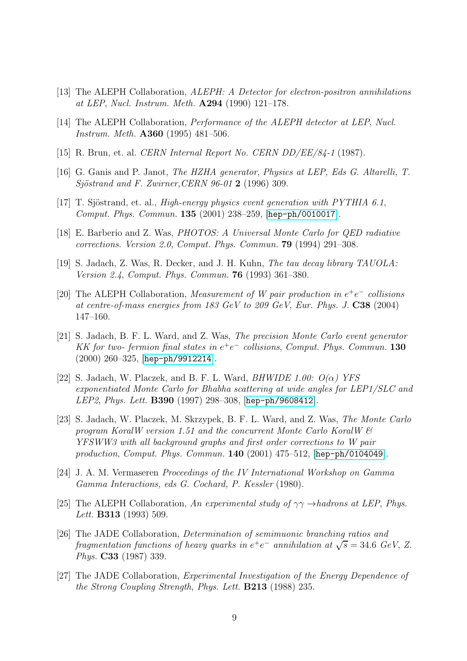- <span id="page-12-1"></span><span id="page-12-0"></span>[13] The ALEPH Collaboration, *ALEPH: A Detector for electron-positron annihilations at LEP*, *Nucl. Instrum. Meth.* A294 (1990) 121–178.
- <span id="page-12-2"></span>[14] The ALEPH Collaboration, *Performance of the ALEPH detector at LEP*, *Nucl. Instrum. Meth.* A360 (1995) 481–506.
- <span id="page-12-3"></span>[15] R. Brun, et. al. *CERN Internal Report No. CERN DD/EE/84-1* (1987).
- <span id="page-12-4"></span>[16] G. Ganis and P. Janot, *The HZHA generator*, *Physics at LEP, Eds G. Altarelli, T. Sjöstrand and F. Zwirner, CERN 96-01* **2** (1996) 309.
- <span id="page-12-5"></span>[17] T. Sjöstrand, et. al., *High-energy physics event generation with PYTHIA 6.1*, *Comput. Phys. Commun.* 135 (2001) 238–259, [[hep-ph/0010017](http://xxx.lanl.gov/abs/hep-ph/0010017)].
- <span id="page-12-6"></span>[18] E. Barberio and Z. Was, *PHOTOS: A Universal Monte Carlo for QED radiative corrections. Version 2.0*, *Comput. Phys. Commun.* 79 (1994) 291–308.
- [19] S. Jadach, Z. Was, R. Decker, and J. H. Kuhn, *The tau decay library TAUOLA: Version 2.4*, *Comput. Phys. Commun.* 76 (1993) 361–380.
- <span id="page-12-7"></span>[20] The ALEPH Collaboration, *Measurement of W pair production in*  $e^+e^-$  *collisions at centre-of-mass energies from 183 GeV to 209 GeV*, *Eur. Phys. J.* C38 (2004) 147–160.
- <span id="page-12-8"></span>[21] S. Jadach, B. F. L. Ward, and Z. Was, *The precision Monte Carlo event generator KK* for two- fermion final states in  $e^+e^-$  collisions, Comput. Phys. Commun. **130** (2000) 260–325, [[hep-ph/9912214](http://xxx.lanl.gov/abs/hep-ph/9912214)].
- <span id="page-12-9"></span>[22] S. Jadach, W. Placzek, and B. F. L. Ward, *BHWIDE 1.00: O(*α*) YFS exponentiated Monte Carlo for Bhabha scattering at wide angles for LEP1/SLC and LEP2*, *Phys. Lett.* B390 (1997) 298–308, [[hep-ph/9608412](http://xxx.lanl.gov/abs/hep-ph/9608412)].
- <span id="page-12-10"></span>[23] S. Jadach, W. Placzek, M. Skrzypek, B. F. L. Ward, and Z. Was, *The Monte Carlo program KoralW version 1.51 and the concurrent Monte Carlo KoralW & YFSWW3 with all background graphs and first order corrections to W pair production*, *Comput. Phys. Commun.* 140 (2001) 475–512, [[hep-ph/0104049](http://xxx.lanl.gov/abs/hep-ph/0104049)].
- <span id="page-12-11"></span>[24] J. A. M. Vermaseren *Proceedings of the IV International Workshop on Gamma Gamma Interactions, eds G. Cochard, P. Kessler* (1980).
- <span id="page-12-12"></span>[25] The ALEPH Collaboration, An experimental study of  $\gamma\gamma \rightarrow$ *hadrons at LEP*, *Phys. Lett.* B313 (1993) 509.
- <span id="page-12-13"></span>[26] The JADE Collaboration, *Determination of semimuonic branching ratios and*  $fragmentation functions of heavy quarks in e<sup>+</sup>e<sup>-</sup> annihilation at  $\sqrt{s} = 34.6 \text{ GeV}, Z$ .$ *Phys.* C33 (1987) 339.
- <span id="page-12-14"></span>[27] The JADE Collaboration, *Experimental Investigation of the Energy Dependence of the Strong Coupling Strength*, *Phys. Lett.* B213 (1988) 235.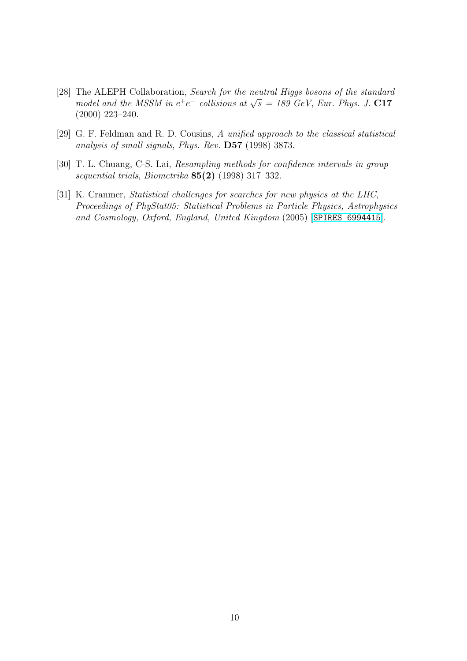- <span id="page-13-0"></span>[28] The ALEPH Collaboration, *Search for the neutral Higgs bosons of the standard model and the MSSM in e<sup>+</sup>e<sup>-</sup> <i>collisions at*  $\sqrt{s}$  = 189 GeV, *Eur. Phys. J.* C17 (2000) 223–240.
- <span id="page-13-2"></span><span id="page-13-1"></span>[29] G. F. Feldman and R. D. Cousins, *A unified approach to the classical statistical analysis of small signals*, *Phys. Rev.* D57 (1998) 3873.
- <span id="page-13-3"></span>[30] T. L. Chuang, C-S. Lai, *Resampling methods for confidence intervals in group sequential trials*, *Biometrika* 85(2) (1998) 317–332.
- [31] K. Cranmer, *Statistical challenges for searches for new physics at the LHC*, *Proceedings of PhyStat05: Statistical Problems in Particle Physics, Astrophysics and Cosmology, Oxford, England, United Kingdom* (2005) [[SPIRES 6994415](http://xxx.lanl.gov/abs/SPIRES 6994415)].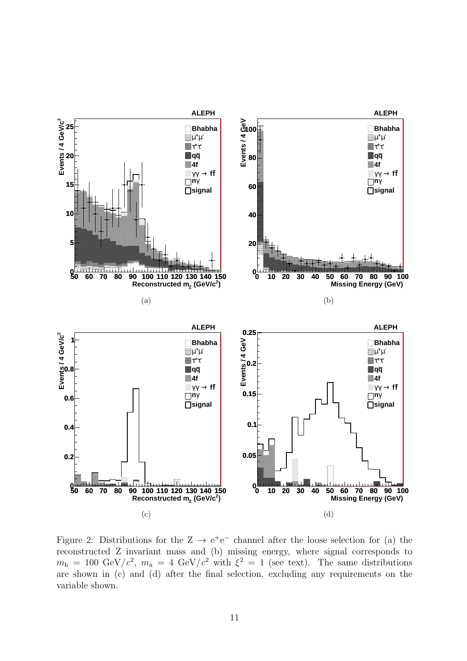

<span id="page-14-0"></span>Figure 2: Distributions for the  $Z \rightarrow e^+e^-$  channel after the loose selection for (a) the reconstructed Z invariant mass and (b) missing energy, where signal corresponds to  $m_h = 100 \text{ GeV}/c^2$ ,  $m_a = 4 \text{ GeV}/c^2$  with  $\xi^2 = 1$  (see text). The same distributions are shown in (c) and (d) after the final selection, excluding any requirements on the variable shown.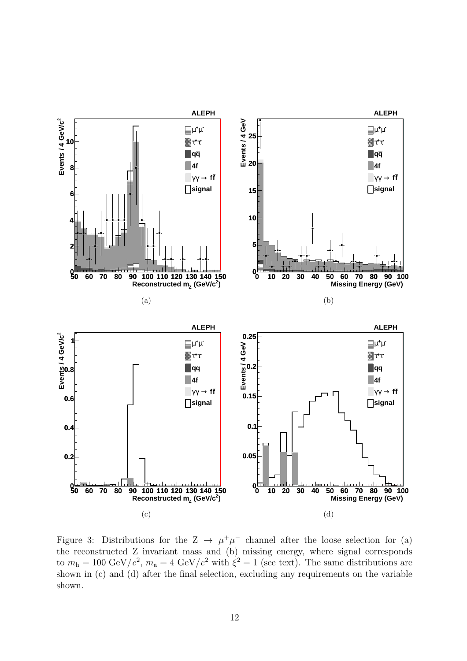

<span id="page-15-0"></span>Figure 3: Distributions for the  $Z \to \mu^+\mu^-$  channel after the loose selection for (a) the reconstructed Z invariant mass and (b) missing energy, where signal corresponds to  $m_h = 100 \text{ GeV}/c^2$ ,  $m_a = 4 \text{ GeV}/c^2$  with  $\xi^2 = 1$  (see text). The same distributions are shown in (c) and (d) after the final selection, excluding any requirements on the variable shown.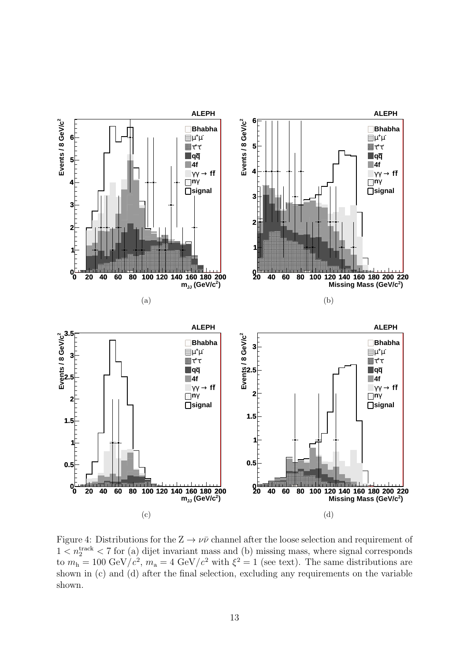

<span id="page-16-0"></span>Figure 4: Distributions for the  $Z \to \nu\bar{\nu}$  channel after the loose selection and requirement of  $1 < n_2^{\text{track}} < 7$  for (a) dijet invariant mass and (b) missing mass, where signal corresponds to  $m_h = 100 \text{ GeV}/c^2$ ,  $m_a = 4 \text{ GeV}/c^2$  with  $\xi^2 = 1$  (see text). The same distributions are shown in (c) and (d) after the final selection, excluding any requirements on the variable shown.